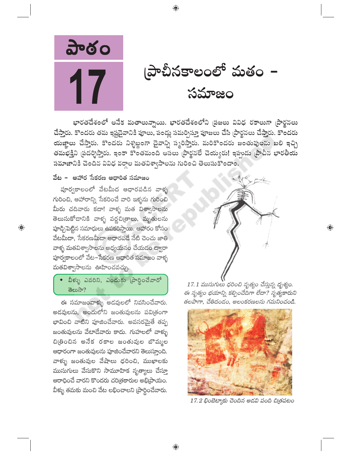

(పాచీనకాలంలో మతం – సమాజం

భారతదేశంలో అనేక మతాలున్నాయి. భారతదేశంలోని ప్రజలు వివిధ రకాలుగా ప్రార్థనలు చేస్తారు. కొందరు తమ ఇష్టదైవానికి పూలు, పండ్లు సమర్పిస్తూ పూజలు చేసి (పార్థనలు చేస్తారు. కొందరు యజ్ఞాలు చేస్తారు. కొందరు నిశ్శబ్దంగా దైవాన్ని స్మరిస్తారు. మరికొందరు జంతువులను బలి ఇచ్చి తమభక్తిని ప్రదర్శిస్తారు. ఇంకా కొంతమంది అసలు ప్రార్థనలే చెయ్యరు! ఇప్పుడు ప్రాచీన భారతీయ సమాజానికి చెందిన వివిధ వర్గాల మతవిశ్వాసాలను గురించి తెలుసుకొందాం.

 $\bigoplus$ 

## వేట – ఆహార సేకరణ ఆధారిత సమాజం

పూర్వకాలంలో వేటమీద ఆధారపడిన వాళ్ళ గురించి, ఆహారాన్ని సేకరించే వారి ఇళ్ళను గురించి మీరు చదివారు కదా! వాళ్ళ మత విశ్వాసాలను తెలుసుకోడానికి వాళ్ళ వర్ణచి(తాలు, మృతులను హాడ్చిపెట్టిన సమాధులు ఉపకరిస్తాయి. ఆహారం కోసం వేటమీదా, సేకరణమీదా ఆధారపడే నేటి చెంచు జాతి వాళ్ళ మతవిశ్వాసాలను అధ్యయనం చేయడం ద్వారా పూర్వకాలంలో వేట–సేకరణ ఆధారిత సమాజం వాళ్ళ మతవిశ్వాసాలను ఊహించవచ్చు.

 $\bigoplus$ 

◆ వీళ్ళు ఎవరిని, ఎందుకు (పార్థించేవారో తెలుసా?

ఈ సమాజంవాళ్ళు అడవులలో నివసించేవారు. అడవులను, అందులోని జంతువులను పవిత్రంగా భావించి వాటిని పూజించేవారు. అవసరమైతే తప్ప జంతువులను వేటాడేవారు కాదు. గుహలలో వాళ్ళు చిత్రించిన అనేక రకాల జంతువుల బొమ్మల ఆధారంగా జంతువులను పూజించేవారని తెలుస్తూంది. వాళ్ళు జంతువుల వేషాలు ధరించి, ముఖాలకు ముసుగులు వేసుకొని సామూహిక నృత్యాలు చేస్తూ ఆరాధించే వారని కొందరు చరిత్రకారుల అభిప్రాయం. వీళ్ళు తమకు మంచి వేట లభించాలని (పార్థించేవారు.



 $\bigoplus$ 

17.1 ముసుగులు ధరించి నృత్యం చేస్తున్న దృశ్యం. ఈ నృత్యం భయాన్ని కల్పించేదిగా లేదా? నృత్యకారుని తలపాగా, చేతిదండం, అలంకరణలను గమనించండి.



17.2 భింబెట్మాకు చెందిన అడవి పంది చిత్రపటం

⊕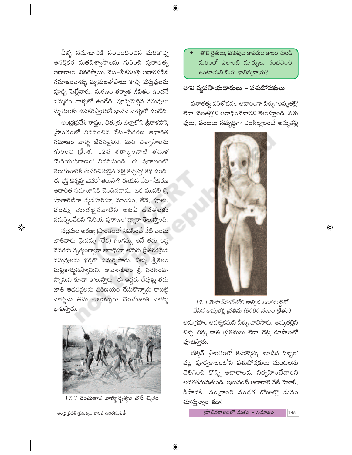తొలి రైతులు, పశువుల కాపరుల కాలం నుండి మతంలో ఎలాంటి మార్పులు సంభవించి ఉంటాయని మీరు భావిస్తున్నారు?

# తొలి వ్యవసాయదారులు – పశుపోషకులు

 $\bigoplus$ 

పురాతత్వ పరిశోధనల ఆధారంగా వీళ్ళు 'అమ్మతల్లి' లేదా 'నేలతల్లి'ని ఆరాధించేవారని తెలుస్తూంది. పశు వులు, పంటలు సమృద్ధిగా విలసిల్లాలంటే అమ్మతల్లి



 $\bigoplus$ 

17.4 మెహర్నగర్లోని కాల్చిన బంకమట్టితో చేసిన అమ్మతల్లి (పతిమ (5000 సంగల క్రితం)

అను(గహం ఆవశ్యకమని వీళ్ళు భావిస్తారు. అమ్మతల్లిని చిన్న చిన్న రాతి (పతిమలు లేదా చెట్ల రూపాలలో పూజిస్తారు.

దక్కన్ [పాంతంలో కనుక్కొన్న 'బూడిద దిబ్బల' వల్ల పూర్వకాలంలోని పశుపోషకులు మంటలను వెలిగించి కొన్ని ఆచారాలను నిర్వహించేవారని అవగతమవుతుంది. ఇటువంటి ఆచారాలే నేటి హెూళి, దీపావళి, సంక్రాంతి పండగ రోజుల్లో మనం చూస్తున్నాం కదా!

(పాచీనకాలంలో మతం – సమాజం

145

వీళ్ళ సమాజానికి సంబంధించిన మరికొన్ని ఆసక్తికర మతవిశ్వాసాలను గురించి పురాతత్వ ఆధారాలు వివరిస్తాయి. వేట–సేకరణపై ఆధారపడిన సమాజంవాళ్ళు మృతులతోపాటు కొన్ని వస్తువులను పూడ్చి పెట్టేవారు. మరణం తర్వాత జీవితం ఉందనే నమ్మకం వాళ్ళలో ఉండేది. పూడ్చిపెట్టిన వస్తువులు మృతులకు ఉపకరిస్తాయనే భావన వాళ్ళలో ఉండేది.

ఆంధ్రప్రదేశ్ రాష్ట్రం, చిత్తూరు జిల్లాలోని శ్రీకాళహస్తి (పాంతంలో నివసించిన వేట–సేకరణ ఆధారిత సమాజం వాళ్ళ జీవనశైలిని, మత విశ్వాసాలను గురించి (కీ.శ. 12వ శతాబ్దంనాటి తమిళ 'పెరియపురాణం' వివరిస్తుంది. ఈ పురాణంలో తెలుగువారికి సుపరిచితుడైన 'భక్త కన్నప్ప' కథ ఉంది. ఈ భక్త కన్నప్ప ఎవరో తెలుసా? ఈయన వేట–సేకరణ ఆధారిత సమాజానికి చెందినవాడు. ఒక ముసలి స్ట్రీ పూజారిణిగా వ్యవహరిస్తూ మాంసం, తేనె, పూలు, వండు వెుుదలైనవాటిని అటవీ దేవతలకు సమర్పించేదని 'పెరియ పురాణం' ద్వారా తెలుస్తోంది.

నల్లమల అరణ్య (పాంతంలో నివసించే నేటి చెంచు జాతివారు మైసమ్మ (లేక) గంగమ్మ అనే తమ ఇష్ట దేవతను నృత్యంద్వారా ఆరాధిస్తూ ఆమెకు (పీతికరమైన వస్తువులను భక్తితో సమర్పిస్తారు. వీళ్ళు శ్రీశైలం మల్లికార్జునస్వామిని, అహెూబిలం శ్రీ నరసింహ స్వామిని కూడా కొలుస్తారు. ఈ ఇద్దరు దేవుళ్లు తమ జాతి ఆడబిడ్డలను పరిణయం చేసుకొన్నారు కాబట్టి వాళ్ళను తమ అల్లుళ్ళుగా చెంచుజాతి వాళ్ళు భావిస్తారు.

 $\bigoplus$ 



17.3 చెంచుజాతి వాళ్ళునృత్యం చేసే చిత్రం

ఆంధ్రప్రదేశ్ ప్రభుత్వం వారిచే ఉచితపంపిణీ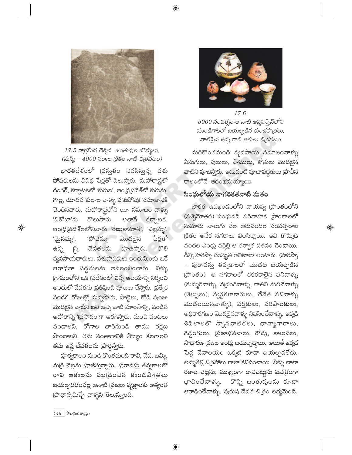

 $17.5$  రాళ్లమీద చెక్కిన జంతువుల బొమ్మలు,  $(\text{m}x) - 4000$  సంగల (కితం నాటి చి(తపటం)

భారతదేశంలో (పస్తుతం నివసిస్తున్న పశు పోషకులను వివిధ పేర్లతో పిలుస్తారు. మహారాష్ట్రలో ధంగర్, కర్నాటకలో 'కురుబ', ఆంధ్రప్రదేశ్లో కురుమ, గొల్ల, యాదవ కులాల వాళ్ళు పశుపోషక సమాజానికి చెందినవారు. మహారాష్ట్రలోని యీ సమాజం వాళ్ళు అలాగే కర్నాటక, 'విఠోబా'ను కొలుసారు. ఆంధ్ర(ప్రదేశ్లలోనివారు రేణుకామాత', 'ఎల్లమ్మ', 'పోచెమ్మ' 'మైసమ్మ', మొదలైన పేర్లతో  $\overline{\mathbb{S}}$ దేవతలను ತೌಲ ఉన్న పూజిస్తారు. వ్యవసాయదారులు, పశుపోషకులు ఇంచుమించు ఒకే ఆరాధనా పద్ధతులను అవలంబించారు. వీళ్ళు గ్రామంలోని ఒక ప్రదేశంలో చిన్న ఆలయాన్ని నిర్మించి అందులో దేవతను (పతిష్ఠించి పూజలు చేస్తారు. (పత్యేక పండగ రోజుల్లో దున్నపోతు, పొట్టేలు, కోడి పుంజు మొదలైన వాటిని బలి ఇచ్చి వాటి మాంసాన్ని, వండిన ఆహారాన్ని 'ప్రసాదం'గా ఆరగిస్తారు. మంచి పంటలు పండాలని, రోగాల బారినుండి తాము రక్షణ పొందాలని, తమ సంతానానికి సౌఖ్యం కలగాలని తమ ఇష్ట దేవతలను (పార్థిస్తారు.

పూర్వకాలం నుండి కొంతమంది రావి, వేప, జమ్మి, మర్రి చెట్లను పూజిస్తున్నారు. పురావస్తు తవ్వకాలలో రావి ఆకులను ము(దించిన కుండపా(తలు బయల్పదడంవల్ల ఆనాటి (పజలు వృక్షాలకు అత్యంత (పాధాన్యమిచ్చే వాళ్ళని తెలుస్తూంది.



17.6. 5000 సంవత్సరాల నాటి ఆఫ్ఘనిస్తాన్లోని ముండిగాక్లో బయల్పడిన కుండపాత్రలు, వాటిపైన ఉన్న రావి ఆకులు చిత్రపటం

మరికొంతమంది వ్యవసాయ సమాజంవాళ్ళు ఏనుగులు, పులులు, పాములు, కోతులు మొదలైన వాటిని పూజిస్తారు. ఇటువంటి పూజాపద్ధతులు (పాచీన కాలంలోనే ఆరంభమయ్యాయి.

 $\bigoplus$ 

## సింధులోయ నాగరికతనాటి మతం

భారత ఉపఖండంలోని వాయవ్య [పాంతంలోని (పశ్చిమోత్తర) సింధునదీ పరివాహక (పాంతాలలో సుమారు నాలుగు వేల ఆరువందల సంవత్సరాల క్రితం అనేక నగరాలు విలసిల్లాయి. ఇవి తొమ్మిది వందల ఏండ్లు వర్ధిల్లి ఆ తర్వాత పతనం చెందాయి. దీన్ని హరప్పా సంస్థ్రతి అనికూడా అంటారు. (హరప్పా – పురావస్తు తవ్వకాలలో మొదట బయల్పడిన (పాంతం). ఆ నగరాలలో రకరకాలైన పనివాళ్ళు (కుమ్మరివాళ్ళు, వ(డంగివాళ్ళు, రాతిని మలిచేవాళ్ళు (శిల్పులు), స్వర్ణకళాకారులు, చేనేత పనివాళ్ళు మొదలయినవాళ్ళు), వర్తకులు, పరిపాలకులు, అధికారగణం మొదలైనవాళ్ళు నివసించేవాళ్ళు. ఇక్కడి శిథిలాలలో స్నానవాటికలు, ధాన్యాగారాలు, గిడ్డంగులు, (పజాభవనాలు, రోడ్లు, కాలువలు, సాధారణ (పజల ఇంద్లు బయల్పద్దాయి. అయితే ఇక్కడ పెద్ద దేవాలయం ఒక్కటి కూడా బయల్పడలేదు. అమ్మతల్లి విగ్రహాలు చాలా కనిపించాయి. వీళ్ళు చాలా రకాల చెట్లను, ముఖ్యంగా రావిచెట్టును పవిత్రంగా కొన్ని జంతువులను కూడా భావించేవాళ్ళు. ఆరాధించేవాళ్ళు. పురుష దేవత చిత్రం లభ్యమైంది.

 $\bigoplus$ 

 $146$   $\sigma$ ింఘికశాగ్రుం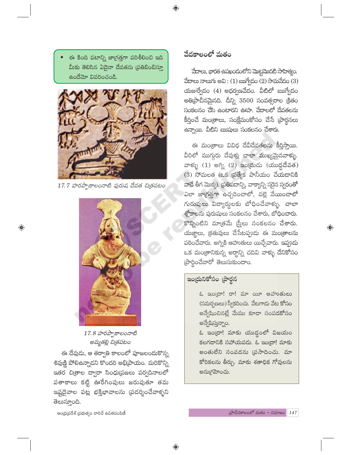ఈ కింది పటాన్ని జాగ్రత్తగా పరిశీలించి ఇది మీకు తెలిసిన ఏదైనా దేవతను (పతిబింబిస్తూ ఉందేమో వివరించండి.



17.7 హరప్పాకాలంనాటి పురుష దేవత చిత్రపటం



 $17.8 \text{ }$ హరప్పాకాలంనాటి అమ్మతల్లి చిత్రపటం

ఈ దేవుడు, ఆ తర్వాతి కాలంలో పూజలందుకొన్న శివుణ్ణి పోలిఉన్నాడని కొందరి అభి[పాయం. మరికొన్ని ఇతర చిత్రాల ద్వారా సింధు(పజలు పర్వదినాలలో పతాకాలు కట్టి ఊరేగింపులు జరుపుతూ తమ ఇష్టదైవాల పట్ల భక్తిభావాలను (పదర్శించేవాళ్ళని తెలుస్తూంది.

## వేదకాలంలో మతం

 $\bigoplus$ 

మేాలు, భారత ఉపఖండంలోని మొట్టమొదటి సాహిత్యం. వేదాలు నాలుగు అవి : (1) ఋగ్వేదం (2) సామవేదం (3) యజుర్వేదం  $(4)$  అధర్వణవేదం. వీటిలో ఋగ్వేదం అతి[పాచీనమైనది. దీన్ని 3500 సంవత్సరాల క్రితం సంకలనం చేసి ఉంటారని ఊహ. వేదాలలో దేవతలను కీర్తించే మంత్రాలు, సంక్షేమంకోసం చేసే (పార్థనలు ఉన్నాయి. వీటిని ఋషులు సంకలనం చేశారు.

ఈ మంత్రాలు వివిధ దేవీదేవతలను కీర్తిస్తాయి. వీరిలో ముగ్గురు దేవుళ్లు చాలా ముఖ్యమైనవాళ్ళు. వాళ్ళు (1) అగ్ని (2) ఇంద్రుడు (యుద్ధదేవత) (3) సోమలత (ఒక ప్రత్యేక పానీయం చేయడానికి వాడే తీగ మొక్క). (పతిపదాన్ని, వాక్యాన్ని సరైన స్వరంతో ఎలా జాగ్రత్తగా ఉచ్చరించాలో, వల్లె వేయించాలో గురువులు విద్యార్శలకు బోధించేవాళ్ళు. చాలా శ్లోకాలను పురుషులు సంకలనం చేశారు, బోధించారు. కొన్నింటిని మాత్రమే స్ర్తీలు సంకలనం చేశారు. యజ్ఞాలు, క్రతువులు చేసేటప్పుడు ఈ మంత్రాలను పఠించేవారు. అగ్నికి ఆహుతులు యిచ్చేవారు. ఇప్పుడు ఒక మంత్రానికున్న అర్థాన్ని చదివి వాళ్ళు దేనికోసం  $\vec{a}$ ာင်္ဂဝဍ္ဍာတ္တစ္ခု များကုတ္တစ္ခုတ္တ

 $\bigoplus$ 

## ఇంద్రునికోసం (పార్థన

ఓ ఇం[దా! రా! మా యీ ఆహుతులు (సమర్పణలు) స్వీకరించు. వేటగాడు వేట కోసం అన్వేషించినట్లే మేము కూడా సంపదకోసం అన్వేషిస్తున్నాం.

ఓ ఇం[దా! మాకు యుద్ధంలో విజయం కలగడానికి సహాయపడు. ఓ ఇంద్రా! మాకు అంతులేని సంపదను (పసాదించు. మా కోరికలను తీర్చు. మాకు శతాధిక గోవులను అను(గహించు.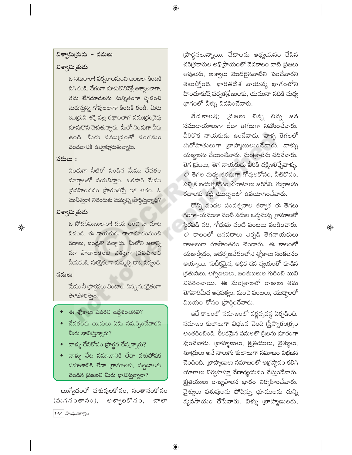## విశ్వామిత్రుడు – నదులు

## విశ్వామిత్రుడు

ఓ నదులారా! పర్వతాలనుంచి జలజలా కిందికి దిగి రండి. వేగంగా దూసుకొనివెళ్లే అశ్వాలలాగా, తమ లేగదూడలను సున్నితంగా సృజించి మెరుస్తున్న గోవులలాగా కిందికి రండి. మీరు ఇం(దుని శక్తి వల్ల రథాలలాగ సము(దంవైపు దూసుకొని వెళుతున్నారు. మీలో నిందుగా నీరు ఉంది. మీరు సము(దంతో సంగమం చెందదానికి ఉవ్విళ్లూరుతున్నారు.

### నదులు $:$

నిండుగా నీటితో నిండిన మేము దేవతల మార్గాలలో పయనిస్తాం. ఒకసారి మేము  $\tilde{\omega}$ వహించడం (పారంభిస్తే ఇక ఆగం. ఓ మునీశ్వరా! నీవెందుకు మమ్మల్ని (ఫార్థిస్తున్నావు?

## విశ్వామిత్రుడు

ఓ సోదరీమణులారా! దయ ఉంచి నా మాట వినండి. ఈ గాయకుడు చాలాదూరంనుంచి రథాలు, బండ్లతో వచ్చాడు. మీలోని జలాన్ని మా పాదాలకంటే ఎత్తుగా (పవహించ నీయకండి, సురక్షితంగా మమ్మల్ని దాట నివ్వండి.

## నదులు

 $\bigoplus$ 

మేము నీ (పార్థనలు వింటాం. నిన్ను సురక్షితంగా สำกอรลลอ.

- ఈ శ్లోకాలు ఎవరిని ఉద్దేశించినవి?
- దేవతలకు ఋషులు ఏమి సమర్పించేవారని మీరు భావిస్తున్నారు?
- వాళ్ళు దేనికోసం (పార్థన చేస్తున్నారు?
- వాళ్ళు వేట సమాజానికి లేదా పశుపోషక సమాజానికి లేదా (గామాలకు, పట్టణాలకు చెందిన (పజలని మీరు భావిస్తున్నారా?

ఋగ్వేదంలో పశువులకోసం, సంతానంకోసం అశ్వాలకోనం, (మగనంతానం), చాలా  $148$  (సాంఘికశాద్రం

(పార్థనలున్నాయి. వేదాలను అధ్యయనం చేసిన చరిత్రకారుల అభిప్రాయంలో వేదకాలం నాటి (పజలు ఆవులను, అశ్వాలు మొదలైనవాటిని పెంచేవారని తెలుస్తోంది. భారతదేశ వాయవ్య భాగంలోని హిందూకుష్ పర్వత(శేణులకు, యమునా నదికి మధ్య భాగంలో వీళ్ళు నివసించేవారు.

 $\bigoplus$ 

వేదకాలవు (చజలు చిన్న చిన్న జన సముదాయాలుగా లేదా తెగలుగా నివసించేవారు. వీరికొక నాయకుడు ఉండేవాడు. వాళ్ళ తెగలలో పురోహితులుగా (బాహ్మణులుండేవారు. వాళ్ళు యజ్జాలను చేయించేవారు. మంత్రాలను చదివేవారు. తెగ (పజలు, తెగ నాయకుడు వీరికి దక్షిణలిచ్చేవాళ్ళు. ఈ తెగల మధ్య తరచుగా గోవులకోసం, నీటికోసం, పచ్చిక బయళ్ళకోసం పోరాటాలు జరిగేవి. గుర్రాలను రథాలకు కట్టి యుద్దాలలో ఉపయోగించేవారు.

కొన్ని వందల సంవత్సరాల తర్వాత ఈ తెగలు గంగా-యమునా వంటి నదుల ఒద్దునున్న (గామాలలో స్థిరపడి వరి, గోధుమ వంటి పంటలు పండించారు. ఈ కాలంలో జనపదాలు ఏర్పడి తెగనాయకులు రాజులుగా రూపాంతరం చెందారు. ఈ కాలంలో యజుర్వేదం, అధర్వణవేదంలోని శ్లోకాలు సంకలనం అయ్యాయి. సుదీర్ఘమైన, అధిక ధన వ్యయంతో కూడిన (కతువులు, అగ్నిబలులు, జంతుబలుల గురించి యివి వివరించాయి. ఈ మం(తాలలో రాజులు తమ తెగవారిమీద ఆధిపత్యం, మంచి పంటలు, యుద్దాలలో  $2x$  ဆောင် ဆုံးဝေး ကြွင်း အားလေး

 $\bigoplus$ 

ఇదే కాలంలో సమాజంలో వర్ణవృవస్థ ఏర్పడింది. సమాజం కులాలుగా విభజన చెంది స్త్రీస్వాతం(త్యం అంతరించింది. కీలకమైన పనులలో స్త్రీలను దూరంగా వుంచేవారు. బ్రాహ్మణులు, క్ష్మతియులు, వైశ్యులు, శూ(దులు అనే నాలుగు కులాలుగా సమాజం విభజన చెందింది. (బాహ్మణులు సమాజంలో అ(గస్తానం కలిగి యాగాలు నిర్వహిస్తూ వేదాధ్యయనం చేస్తుండేవారు. క్ష[తియులు రాజ్యపాలన భారం నిర్వహించేవారు. వైశ్యులు పశువులను పోషిస్తూ భూములను దున్ని వ్యవసాయం చేసేవారు. వీళ్ళు బ్రాహ్మణులకు,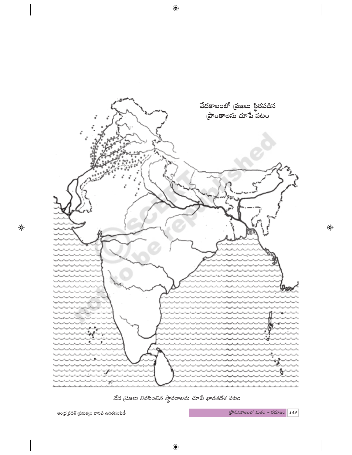

వేద (పజలు నివసించిన స్థావరాలను చూపే భారతదేశ పటం

ఆంధ్ర(పదేశ్ (పభుత్వం వారిచే ఉచితపంపిణీ

 $\bigoplus$ 

 $\phi$ లేచీనకాలంలో మతం - సమాజం $\boxed{149}$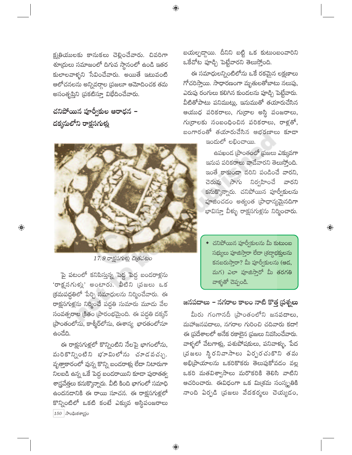క్ష్మతియులకు కానుకలు చెల్లించేవారు. చివరిగా శూ(దులు సమాజంలో దిగువ స్థానంలో ఉండి ఇతర కులాలవాళ్ళని సేవించేవారు. అయితే ఇటువంటి ఆలోచనలను అన్నివర్గాల (పజలూ ఆమోదించక తమ అసంతృప్తిని (పకటిస్తూ విభేదించేవారు.

చనిపోయిన పూర్వీకుల ఆరాధన – దక్కసులోని రాక్షసగుళ్లు

 $\bigoplus$ 



 $17.9$  రాక్షసగుళ్లు చిత్రపటం

పై పటంలో కనిపిస్తున్న పెద్ద పెద్ద బండరాళ్లను 'రాక్షసగుళ్లు' అంటారు. వీటిని (పజలు ఒక క్రమపద్దతిలో పేర్చి సమాధులను నిర్మించేవారు. ఈ రాక్షసగుళ్లను నిర్మించే పద్ధతి సుమారు మూడు వేల సంవత్సరాల క్రితం [పారంభమైంది. ఈ పద్ధతి దక్కన్ ప్రాంతంలోను, కాశ్మీర్లోను, ఈశాన్య భారతంలోనూ ఉండేది.

ఈ రాక్షసగుళ్లలో కొన్నింటిని నేలపై భాగంలోను, మరికొన్నింటిని భూమిలోను చూడవచ్చు. వృత్తాకారంలో వున్న కొన్ని బందరాళ్లు లేదా నిటారుగా నిలబడి ఉన్న ఒకే పెద్ద బందరాయిని కూడా పురాతత్వ శాస్ర్రవేత్తలు కనుక్కొన్నారు. వీటి కింది భాగంలో సమాధి ఉందనదానికి ఈ రాయి సూచన. ఈ రాక్షసగుళ్లలో కొన్నింటిలో ఒకటి కంటే ఎక్కువ అస్థిపంజరాలు  $150$  (సాంఘికశాద్రం

బయల్పడ్డాయి. దీనిని బట్టి ఒక కుటుంబంవారిని ఒకేచోట పూడ్చి పెట్టేవారని తెలుస్తోంది.

 $\bigoplus$ 

ఈ సమాధులన్నింటిలోను ఒకే రకమైన లక్షణాలు గోచరిస్తాయి. సాధారణంగా మృతులతోబాటు నలుపు, ఎరుపు రంగులు కలిగిన కుండలను పూడ్చి పెట్టేవారు. వీటితోపాటు పనిముట్లు, ఇనుముతో తయారుచేసిన ఆయుధ పరికరాలు, గుర్రాల అస్థి పంజరాలు, గు(రాలకు సంబంధించిన పరికరాలు, రాళ్లతో, బంగారంతో తయారుచేసిన ఆభరణాలు కూడా

 $\infty$ රකුවේ පඞුංచాయి.

ఉపఖండ [పాంతంలో [పజలు ఎక్కువగా ఇనుప పరికరాలు వాడేవారని తెలుస్తోంది. ఇంతే కాకుండా వరిని పండించే వారని<mark>,</mark> చెరువు సాగు నిర్వహించే వారని కనుక్కొన్నారు. చనిపోయిన పూర్వీకులను పూజించడం అత్యంత (పాధాన్యమైనదిగా భావిస్తూ వీళ్ళు రాక్షసగుళ్లను నిర్మించారు.

 $\bullet$  చనిపోయిన పూర్వీకులను మీ కుటుంబ సభ్యులు పూజిస్తారా లేదా (శద్ధాభక్తులను కనబరుస్తారా? మీ పూర్వీకులను (ఆద, మగ) ఎలా పూజిస్తారో మీ తరగతి వాళ్ళతో చెప్పండి.

 $\overline{\mathbb{Q}}$ 

# జనపదాలు – నగరాల కాలం నాటి కొత్త (పశ్నలు

మీరు గంగానదీ (పాంతంలోని జన<mark>పదాలు,</mark> మహాజనపదాలు, నగరాల గురించి చదివారు కదా! ఈ ప్రదేశాలలో అనేక రకాలైన ప్రజలు నివసించేవారు. వాళ్ళలో వేటగాళ్లు, పశుపోషకులు, పనివాళ్ళు, పేద (వజలు స్థిరనివాసాలు ఏర్పరచుకొని తమ అభి[పాయాలను ఒకరికొకరు తెలుపుకోవడం వల్ల ఒకరి మతవిశ్వాసాలు మరొకరికి తెలిసి వాటిని ఆచరించారు. ఈవిధంగా ఒక మి<sub>(</sub>శమ సంస్కృతికి నాంది ఏర్పడి (పజలు వేదకర్మలు చెయ్యడం,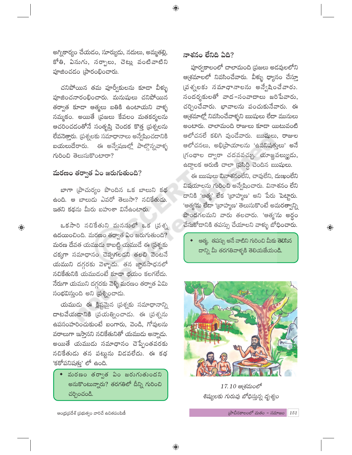అగ్నికార్యం చేయడం, సూర్యుడు, నదులు, అమ్మతల్లి, కోతి, ఏనుగు, సర్ఫాలు, చెట్లు వంటివాటిని హుజించడం (పారంభించారు.

చనిపోయిన తమ పూర్వీకులను కూడా వీళ్ళు పూజించనారంభించారు. మనుషులు చనిపోయిన తర్వాత కూడా ఆత్మలు బతికి ఉంటాయని వాళ్ళ నమ్మకం. అయితే (పజలు కేవలం మతకర్మలను ఆచరించడంతోనే సంతృప్తి చెందక కొత్త (పశ్నలను లేవనెత్తారు. (పశ్నలకు సమాధానాలు అన్వేషించదానికి బయలుదేరారు. ఈ అన్వేషణల్లో పాల్గొన్నవాళ్ళ గురించి తెలుసుకొంటారా?

# మరణం తర్వాత ఏం జరుగుతుంది?

 $\bigoplus$ 

బాగా (పాచుర్యం పొందిన ఒక బాలుని కథ ఉంది. ఆ బాలుడు ఎవరో తెలుసా? నచికేతుడు. ఇతని కథను మీరు బహుశా వినేఉంటారు.

ఒకసారి నచికేతుని మనసులో ఒక (పశ్న ఉదయించింది. మరణం తర్వాత ఏం జరుగుతుంది? మరణ దేవత యముడు కాబట్టి యముడే ఈ (పశ్నకు చక్కగా సమాధానం చెప్పగలడని తలచి వెంటనే యముని దగ్గరకు వెళ్ళాడు. తన జ్ఞానసాధనలో నచికేతునికి యముడంటే కూడా భయం కలగలేదు. నేరుగా యముని దగ్గరకు వెళ్ళి మరణం తర్వాత ఏమి సంభవిస్తుంది అని ప్రశ్నించాడు.

యముడు ఈ క్లిష్టమైన (పశ్నకు సమాధానాన్ని దాటవేయడానికి (పయత్నించాడు. ఈ (పశ్నను ఉపసంహరించుకుంటే బంగారు, వెండి, గోవులను వరాలుగా ఇస్తానని నచికేతునితో యముదు అన్నాదు. అయితే యముడు సమాధానం చెప్పేంతవరకు నచికేతుడు తన పట్టును విడవలేదు. ఈ కథ 'కఠోపనిషతు' లో ఉంది.

 $\bullet$  మరణం తర్వాత ఏం జరుగుతుందని అనుకొంటున్నారు? తరగతిలో దీన్ని గురించి చర్చించండి.

ఆంధ్రప్రదేశ్ ప్రభుత్వం వారిచే ఉచితపంపిణీ

## నాశనం లేనిది ఏది?

⊕

పూర్వకాలంలో చాలామంది (పజలు అడవులలోని ఆ(శమాలలో నివసించేవారు. వీళ్ళు ధ్యానం చేస్తూ (పశ్నలకు సమాధానాలను అన్వేషించేవారు. సందర్శకులతో వాద-సంవాదాలు జరిపేవారు, చర్చించేవారు. భావాలను పంచుకునేవారు. ఈ ఆ(శమాల్లో నివసించేవాళ్ళని ఋషులు లేదా మునులు అంటారు. చాలామంది రాజులు కూడా యిటువంటి ఆలోచనలే కలిగి వుండేవారు. ఋషులు, రాజుల ఆలోచనలు, అభి[పాయాలను 'ఉపనిషత్తులు' అనే గ్రంథాల ద్వారా చదవవచ్చు. యాజ్ఞవల్క్యుడు, ఉద్దాలక ఆరుణి చాలా (పసిద్ధి చెందిన ఋషులు.

ఈ ఋషులు వినాశనంలేని, చావులేని, దుఃఖంలేని విషయాలను గురించి అన్వేషించారు. వినాశనం లేని దానికి 'ఆత్మ' లేక 'టాహ్మణ' అని పేరు పెట్టారు. 'ఆత్మ'ను లేదా 'బ్రాహ్మణ' తెలుసుకొంటే అమరత్వాన్ని పొందగలమని వారు తలచారు. 'ఆత్మ'ను అర్థం చేసుకోదానికి తపస్సు చేయాలని వాక్ళు బోధించారు.

ఆత్మ, తపస్సు అనే వాటిని గురించి మీకు తెలిసిన దాన్ని మీ తరగతివాళ్ళకి తెలియజేయండి.

 $\bigoplus$ 



 $17.10$  ఆ(శమంలో శిష్యులకు గురువు బోధిస్తున్న దృశ్యం

 $c^2$ బాచీనకాలంలో మతం - సమాజం | 151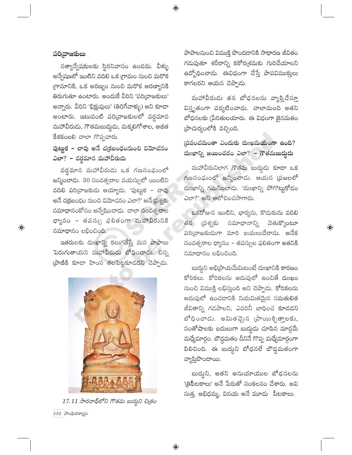## పరి[వాజకులు

 $\bigoplus$ 

సత్యాన్వేషకులకు స్థిరనివాసం ఉండదు. వీళ్ళు అన్వేషణలో ఇంటిని వదిలి ఒక గ్రామం నుంచి మరొక గ్రామానికి, ఒక అరణ్యం నుంచి మరొక అరణ్యానికి తిరుగుతూ ఉంటారు. అందుకే వీరిని 'పరి[వాజకులు' అన్నారు. వీరిని 'భిక్షువులు' (తిరిగేవాళ్ళు) అని కూడా అంటారు. ఇటువంటి పరి[వాజకులలో వర్ధమాన మహావీరుదు, గౌతమబుద్ధదు, మక్కలిగోశాల, అజిత కేశకంబలి చాలా గొప్పవారు.

## పుట్టుక – చావు అనే చ(కబంధంనుంచి విమోచనం ఎలా? – వర్ధమాన మహావీరుడు

వర్ధమాన మహావీరుడు ఒక గణసంఘంలో జన్మించాడు. 30 సంవత్సరాల వయస్సులో యింటిని వదిలి పరి[వాజకుడు అయ్యాడు. 'పుట్టుక – చావు అనే చక్రబంధం నుంచి విమోచనం ఎలా?' అనే ప్రశ్నకు సమాధానంకోసం అన్వేషించాడు. చాలా సంవత్సరాల ధ్యానం – తపస్సు భలితంగా మహావీరునికి సమాధానం లభించింది.

ఇతరులకు దుఃఖాన్ని కలుగజేస్తే మన పాపాలు పెరుగుతాయని మహావీరుడు బోధించాడు. చిన్న (పాణికి కూడా హింస తలపెట్టకూడదని చెప్పాడు.

పాపాలనుంచి విముక్తి పొందడానికి సాధారణ జీవితం గదుపుతూ శరీరాన్ని కఠోర(శమకు గురిచేయాలని ఉద్భోధించాడు. ఈవిధంగా చేస్తే పాపవిముక్తులు కాగలరని ఆయన చెప్పాడు.

 $\bigoplus$ 

మహావీరుడు తన బోధనలను వ్యాప్తిచేస్తూ విస్తృతంగా పర్యటించాడు. చాలామంది అతని బోధనలకు (పేరితులయారు. ఈ విధంగా జైనమతం (పాచుర్యంలోకి వచ్చింది.

ప్రపంచమంతా ఎందుకు దుఃఖమయంగా ఉంది? దుఃఖాన్ని జయించడం ఎలా? – గౌతమబుద్దుడు

మహావీరునిలాగ గౌతమ బుద్ధుడు కూడా ఒక గణసంఘంలో జన్మించాడు. ఆయన (పజలలో దుఃఖాన్ని గమనించాడు. 'దుఃఖాన్ని పోగొట్టుకోడం ఎలా?' అని ఆలోచించసాగాడు.

ఒకరోజున ఇంటిని, భార్యను, కొదుకును వదిలి తన (పశ్నకు సమాధానాన్ని వెతుక్కొంటూ పరి[వాజకుడుగా మారి బయలుదేరాడు. అనేక సంవత్సరాల ధ్యానం – తపస్సుల ఫలితంగా అతనికి సమాధానం లభించింది.

 $\bigoplus$ 

బుద్ధని అభిప్రాయమేమిటంటే దుఃఖానికి కారణం కోరికలు. కోరికలను అదుపులో ఉంచితే దుఃఖం నుంచి విముక్తి లభిస్తుంది అని చెప్పాడు. కోరికలను అదుపులో ఉంచడానికి నియమితమైన సమతులిత జీవితాన్ని గడపాలని, ఎవరినీ బాధించ కూడదని బోధించాడు. అమితవైన (పాయిశ్చిత్తాలకు, సంతోషాలకు బదులుగా బుద్దుడు చూపిన మార్గమే మధ్యేమార్గం. బౌద్ధమతం దీనినే గొప్ప మధ్యేమార్గంగా పిలిచింది. ఈ బుద్ధని బోధనలే బౌద్ధమతంగా వ్యాప్తిపొందాయి.

బుద్దని, అతని అనుయాయుల బోధనలను 'త్రిపీటకాలు' అనే పేరుతో సంకలనం చేశారు. అవి సుత్త, అభిధమ్మ, వినయ అనే మూడు పీటకాలు.

17.11 సారనాథ్లలోని గౌతమ బుద్దని చిత్రం  $152$  సాంఘికశాగ్రం

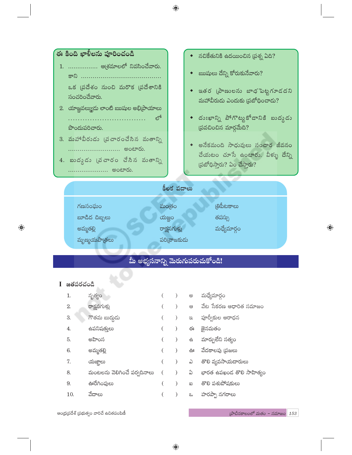

ఆంధ్రప్రదేశ్ (పభుత్వం వారిచే ఉచితపంపిణీ

 $\omega$ ేచినకాలంలో మతం - సమాజం 153

 $\bigoplus$